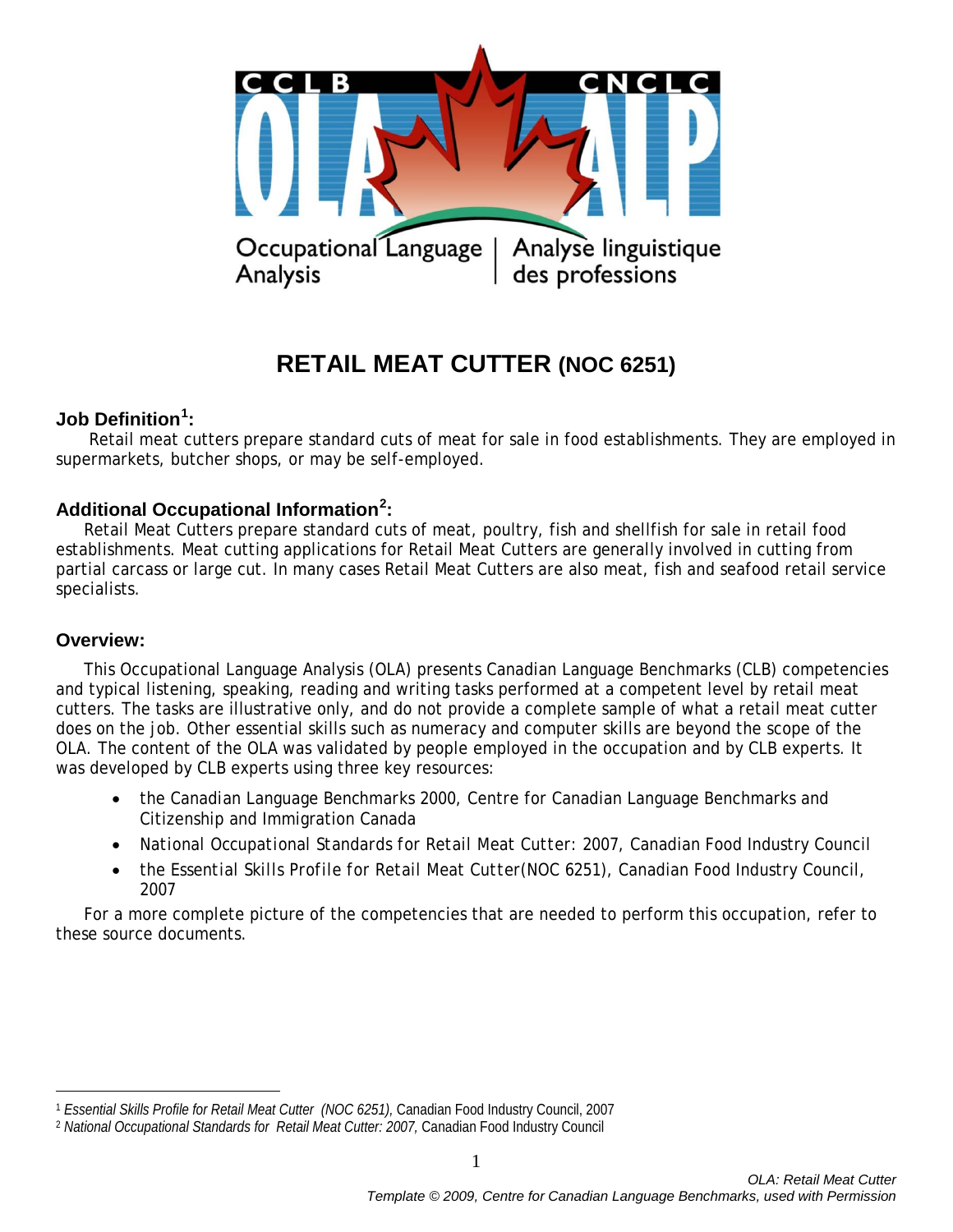

# **RETAIL MEAT CUTTER (NOC 6251)**

# **Job Definition[1](#page-0-0) :**

Retail meat cutters prepare standard cuts of meat for sale in food establishments. They are employed in supermarkets, butcher shops, or may be self-employed.

# **Additional Occupational Information[2](#page-0-1) :**

Retail Meat Cutters prepare standard cuts of meat, poultry, fish and shellfish for sale in retail food establishments. Meat cutting applications for Retail Meat Cutters are generally involved in cutting from partial carcass or large cut. In many cases Retail Meat Cutters are also meat, fish and seafood retail service specialists.

#### **Overview:**

 $\overline{a}$ 

This Occupational Language Analysis (OLA) presents Canadian Language Benchmarks (CLB) competencies and typical listening, speaking, reading and writing tasks performed at a competent level by retail meat cutters. The tasks are illustrative only, and do not provide a complete sample of what a retail meat cutter does on the job. Other essential skills such as numeracy and computer skills are beyond the scope of the OLA. The content of the OLA was validated by people employed in the occupation and by CLB experts. It was developed by CLB experts using three key resources:

- the *Canadian Language Benchmarks 2000*, Centre for Canadian Language Benchmarks and Citizenship and Immigration Canada
- *National Occupational Standards for Retail Meat Cutter*: 2007, Canadian Food Industry Council
- the *Essential Skills Profile for Retail Meat Cutter(NOC 6251),* Canadian Food Industry Council, 2007

For a more complete picture of the competencies that are needed to perform this occupation, refer to these source documents.

<span id="page-0-0"></span><sup>1</sup> *Essential Skills Profile for Retail Meat Cutter (NOC 6251),* Canadian Food Industry Council, 2007

<span id="page-0-1"></span><sup>&</sup>lt;sup>2</sup> National Occupational Standards for Retail Meat Cutter: 2007, Canadian Food Industry Council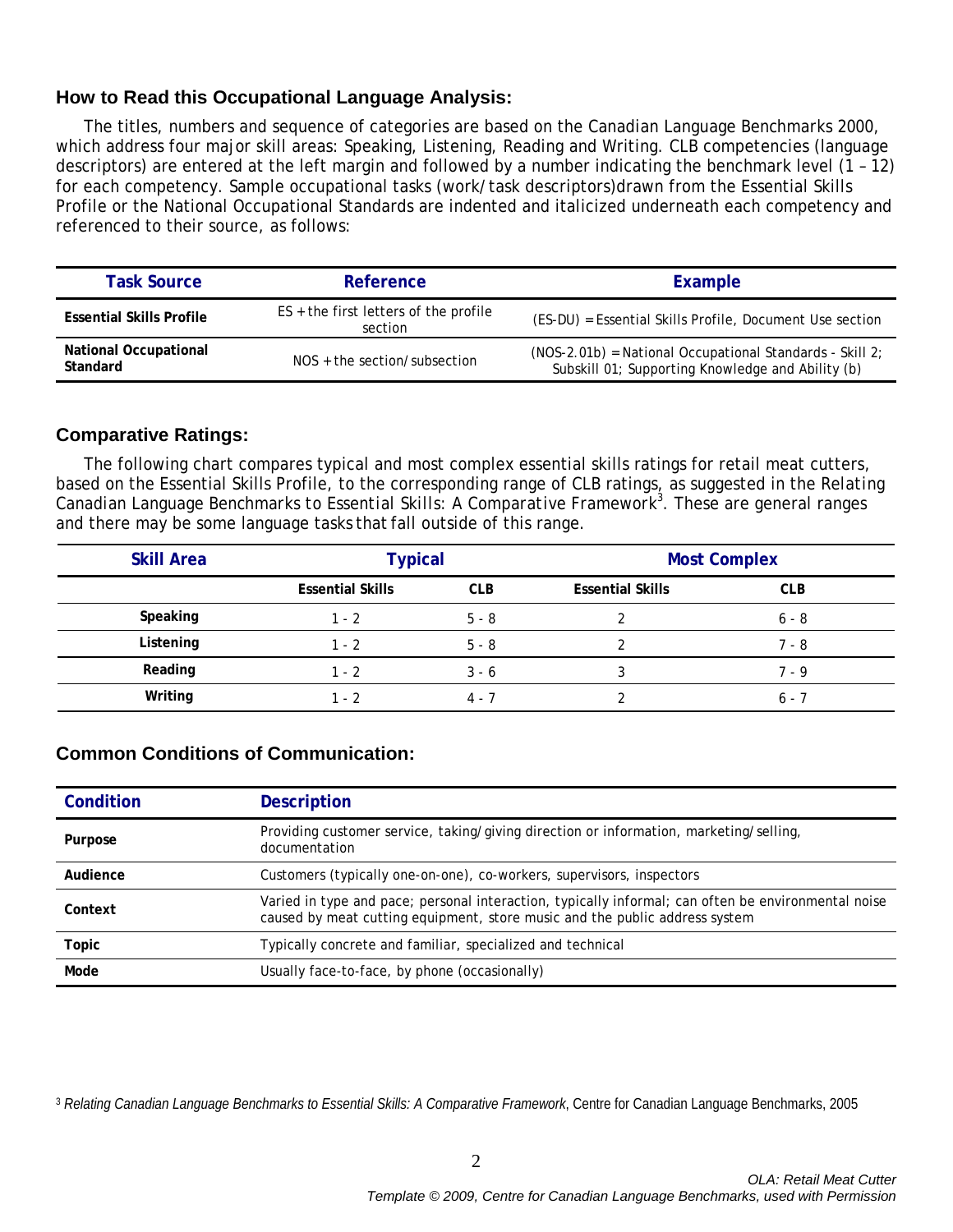#### **How to Read this Occupational Language Analysis:**

The titles, numbers and sequence of categories are based on the *Canadian Language Benchmarks 2000*, which address four major skill areas: Speaking, Listening, Reading and Writing. CLB competencies (language descriptors) are entered at the left margin and followed by a number indicating the benchmark level (1 – 12) for each competency. Sample occupational tasks (work/task descriptors)drawn from the Essential Skills Profile or the National Occupational Standards are indented and italicized underneath each competency and referenced to their source, as follows:

| <b>Task Source</b>                       | Reference                                          | Example                                                                                                         |  |
|------------------------------------------|----------------------------------------------------|-----------------------------------------------------------------------------------------------------------------|--|
| <b>Essential Skills Profile</b>          | $ES +$ the first letters of the profile<br>section | (ES-DU) = Essential Skills Profile, Document Use section                                                        |  |
| <b>National Occupational</b><br>Standard | $NOS +$ the section/subsection                     | $(NOS-2.01b)$ = National Occupational Standards - Skill 2;<br>Subskill 01; Supporting Knowledge and Ability (b) |  |

#### **Comparative Ratings:**

The following chart compares typical and most complex essential skills ratings for retail meat cutters, based on the Essential Skills Profile, to the corresponding range of CLB ratings, as suggested in the *Relating*  Canadian Language Benchmarks to Essential Skills: A Comparative Framework<sup>3</sup>. These are general ranges and there may be some language tasks that fall outside of this range.

| <b>Skill Area</b> | <b>Typical</b>          |            | <b>Most Complex</b>     |            |  |
|-------------------|-------------------------|------------|-------------------------|------------|--|
|                   | <b>Essential Skills</b> | <b>CLB</b> | <b>Essential Skills</b> | <b>CLB</b> |  |
| Speaking          | $1 - 2$                 | $5 - 8$    |                         | $6 - 8$    |  |
| Listening         | 1 - 2                   | $5 - 8$    |                         | 7 - 8      |  |
| Reading           | $1 - 2$                 | $3 - 6$    |                         | 7 - 9      |  |
| Writing           | $1 - 2$                 | 4 - 7      |                         | $6 - 7$    |  |

#### **Common Conditions of Communication:**

| Condition | <b>Description</b>                                                                                                                                                                 |  |
|-----------|------------------------------------------------------------------------------------------------------------------------------------------------------------------------------------|--|
| Purpose   | Providing customer service, taking/giving direction or information, marketing/selling,<br>documentation                                                                            |  |
| Audience  | Customers (typically one-on-one), co-workers, supervisors, inspectors                                                                                                              |  |
| Context   | Varied in type and pace; personal interaction, typically informal; can often be environmental noise<br>caused by meat cutting equipment, store music and the public address system |  |
| Topic     | Typically concrete and familiar, specialized and technical                                                                                                                         |  |
| Mode      | Usually face-to-face, by phone (occasionally)                                                                                                                                      |  |

<sup>3</sup> *Relating Canadian Language Benchmarks to Essential Skills: A Comparative Framework*, Centre for Canadian Language Benchmarks, 2005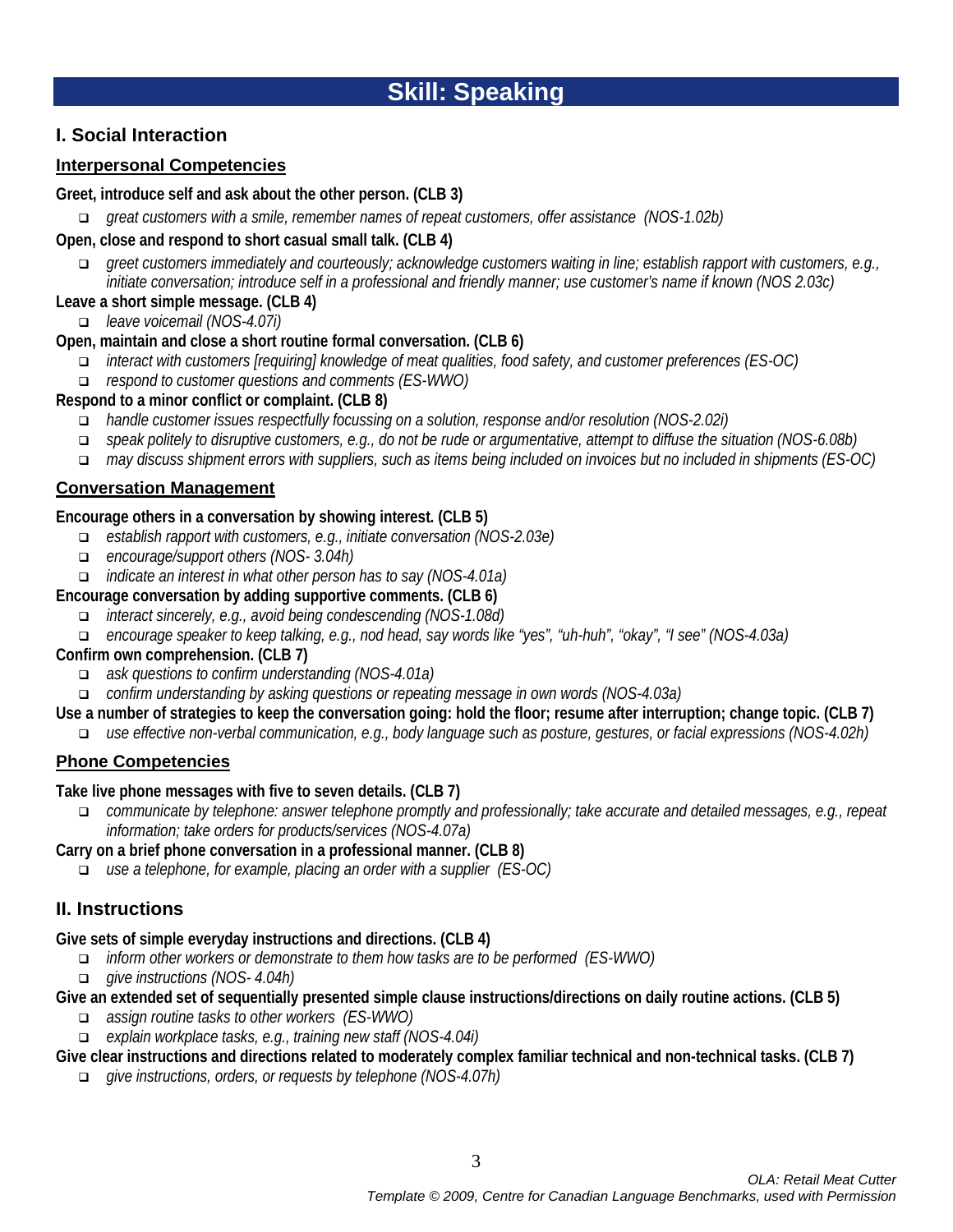# **I. Social Interaction**

### **Interpersonal Competencies**

#### **Greet, introduce self and ask about the other person. (CLB 3)**

*great customers with a smile, remember names of repeat customers, offer assistance (NOS-1.02b)* 

#### **Open, close and respond to short casual small talk. (CLB 4)**

- *greet customers immediately and courteously; acknowledge customers waiting in line; establish rapport with customers, e.g., initiate conversation; introduce self in a professional and friendly manner; use customer's name if known (NOS 2.03c)*
- **Leave a short simple message. (CLB 4)**
	- *leave voicemail (NOS-4.07i)*

#### **Open, maintain and close a short routine formal conversation. (CLB 6)**

- *interact with customers [requiring] knowledge of meat qualities, food safety, and customer preferences (ES-OC)*
- *respond to customer questions and comments (ES-WWO)*

#### **Respond to a minor conflict or complaint. (CLB 8)**

- *handle customer issues respectfully focussing on a solution, response and/or resolution (NOS-2.02i)*
- *speak politely to disruptive customers, e.g., do not be rude or argumentative, attempt to diffuse the situation (NOS-6.08b)*
- *may discuss shipment errors with suppliers, such as items being included on invoices but no included in shipments (ES-OC)*

#### **Conversation Management**

#### **Encourage others in a conversation by showing interest. (CLB 5)**

- *establish rapport with customers, e.g., initiate conversation (NOS-2.03e)*
- *encourage/support others (NOS- 3.04h)*
- *indicate an interest in what other person has to say (NOS-4.01a)*

#### **Encourage conversation by adding supportive comments. (CLB 6)**

- *interact sincerely, e.g., avoid being condescending (NOS-1.08d)*
- *encourage speaker to keep talking, e.g., nod head, say words like "yes", "uh-huh", "okay", "I see" (NOS-4.03a)*

#### **Confirm own comprehension. (CLB 7)**

- *ask questions to confirm understanding (NOS-4.01a)*
- *confirm understanding by asking questions or repeating message in own words (NOS-4.03a)*

#### **Use a number of strategies to keep the conversation going: hold the floor; resume after interruption; change topic. (CLB 7)**

*use effective non-verbal communication, e.g., body language such as posture, gestures, or facial expressions (NOS-4.02h)*

# **Phone Competencies**

#### **Take live phone messages with five to seven details. (CLB 7)**

 *communicate by telephone: answer telephone promptly and professionally; take accurate and detailed messages, e.g., repeat information; take orders for products/services (NOS-4.07a)*

#### **Carry on a brief phone conversation in a professional manner. (CLB 8)**

*use a telephone, for example, placing an order with a supplier (ES-OC)* 

# **II. Instructions**

#### **Give sets of simple everyday instructions and directions. (CLB 4)**

- *inform other workers or demonstrate to them how tasks are to be performed (ES-WWO)*
- *give instructions (NOS- 4.04h)*
- **Give an extended set of sequentially presented simple clause instructions/directions on daily routine actions. (CLB 5)**
	- *assign routine tasks to other workers (ES-WWO)*
	- *explain workplace tasks, e.g., training new staff (NOS-4.04i)*

#### **Give clear instructions and directions related to moderately complex familiar technical and non-technical tasks. (CLB 7)**

*give instructions, orders, or requests by telephone (NOS-4.07h)*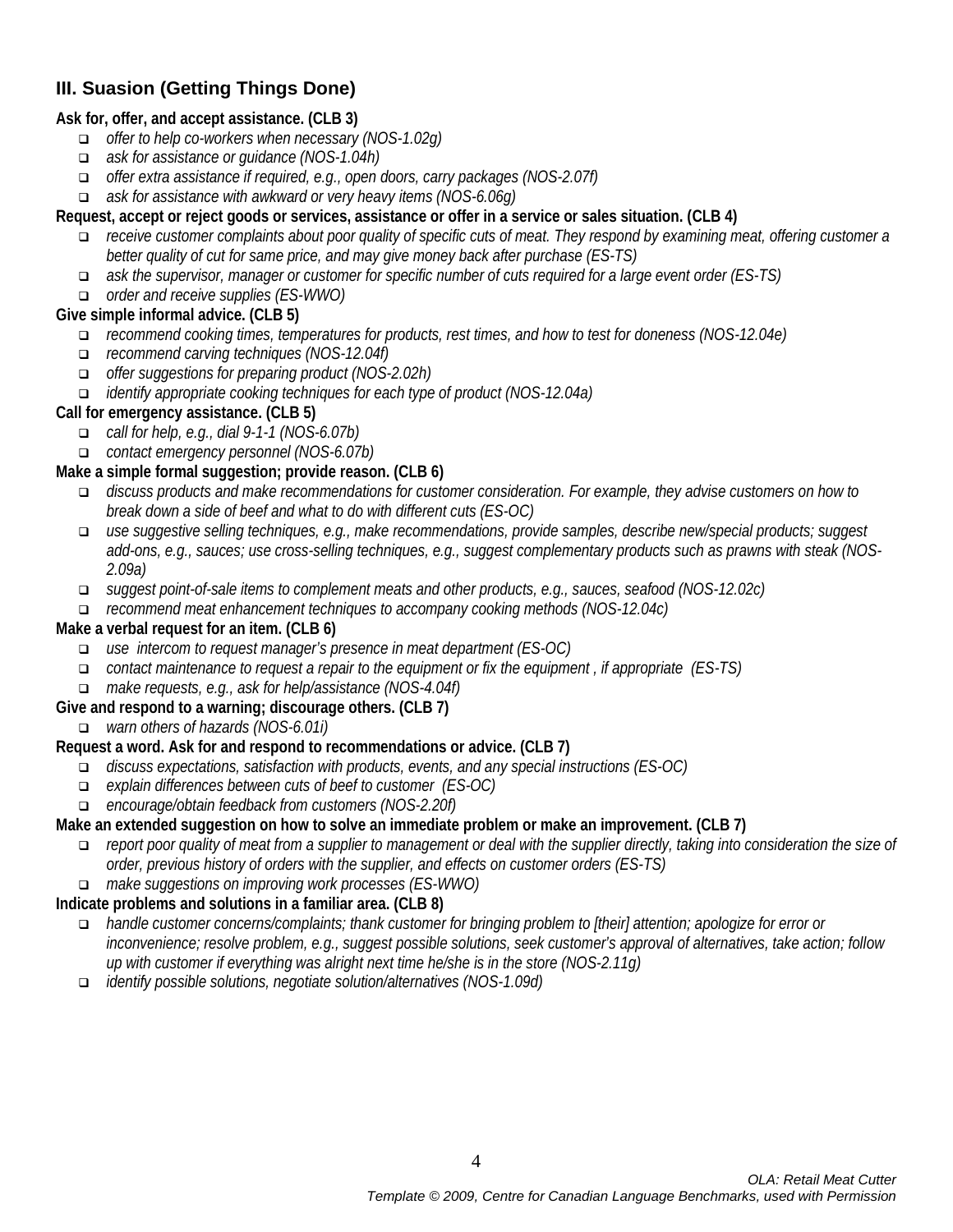# **III. Suasion (Getting Things Done)**

#### **Ask for, offer, and accept assistance. (CLB 3)**

- *offer to help co-workers when necessary (NOS-1.02g)*
- *ask for assistance or guidance (NOS-1.04h)*
- *offer extra assistance if required, e.g., open doors, carry packages (NOS-2.07f)*
- *ask for assistance with awkward or very heavy items (NOS-6.06g)*

#### **Request, accept or reject goods or services, assistance or offer in a service or sales situation. (CLB 4)**

- *receive customer complaints about poor quality of specific cuts of meat. They respond by examining meat, offering customer a better quality of cut for same price, and may give money back after purchase (ES-TS)*
- *ask the supervisor, manager or customer for specific number of cuts required for a large event order (ES-TS)*
- *order and receive supplies (ES-WWO)*

#### **Give simple informal advice. (CLB 5)**

- *recommend cooking times, temperatures for products, rest times, and how to test for doneness (NOS-12.04e)*
- *recommend carving techniques (NOS-12.04f)*
- *offer suggestions for preparing product (NOS-2.02h)*
- *identify appropriate cooking techniques for each type of product (NOS-12.04a)*

#### **Call for emergency assistance. (CLB 5)**

- *call for help, e.g., dial 9-1-1 (NOS-6.07b)*
- *contact emergency personnel (NOS-6.07b)*

#### **Make a simple formal suggestion; provide reason. (CLB 6)**

- *discuss products and make recommendations for customer consideration. For example, they advise customers on how to break down a side of beef and what to do with different cuts (ES-OC)*
- *use suggestive selling techniques, e.g., make recommendations, provide samples, describe new/special products; suggest add-ons, e.g., sauces; use cross-selling techniques, e.g., suggest complementary products such as prawns with steak (NOS-2.09a)*
- *suggest point-of-sale items to complement meats and other products, e.g., sauces, seafood (NOS-12.02c)*
- *recommend meat enhancement techniques to accompany cooking methods (NOS-12.04c)*

#### **Make a verbal request for an item. (CLB 6)**

- *use intercom to request manager's presence in meat department (ES-OC)*
- *contact maintenance to request a repair to the equipment or fix the equipment , if appropriate (ES-TS)*
- *make requests, e.g., ask for help/assistance (NOS-4.04f)*

#### **Give and respond to a warning; discourage others. (CLB 7)**

*warn others of hazards (NOS-6.01i)*

#### **Request a word. Ask for and respond to recommendations or advice. (CLB 7)**

- *discuss expectations, satisfaction with products, events, and any special instructions (ES-OC)*
- *explain differences between cuts of beef to customer (ES-OC)*
- *encourage/obtain feedback from customers (NOS-2.20f)*

#### **Make an extended suggestion on how to solve an immediate problem or make an improvement. (CLB 7)**

- *report poor quality of meat from a supplier to management or deal with the supplier directly, taking into consideration the size of order, previous history of orders with the supplier, and effects on customer orders (ES-TS)*
- *make suggestions on improving work processes (ES-WWO)*

#### **Indicate problems and solutions in a familiar area. (CLB 8)**

- *handle customer concerns/complaints; thank customer for bringing problem to [their] attention; apologize for error or inconvenience; resolve problem, e.g., suggest possible solutions, seek customer's approval of alternatives, take action; follow up with customer if everything was alright next time he/she is in the store (NOS-2.11g)*
- *identify possible solutions, negotiate solution/alternatives (NOS-1.09d)*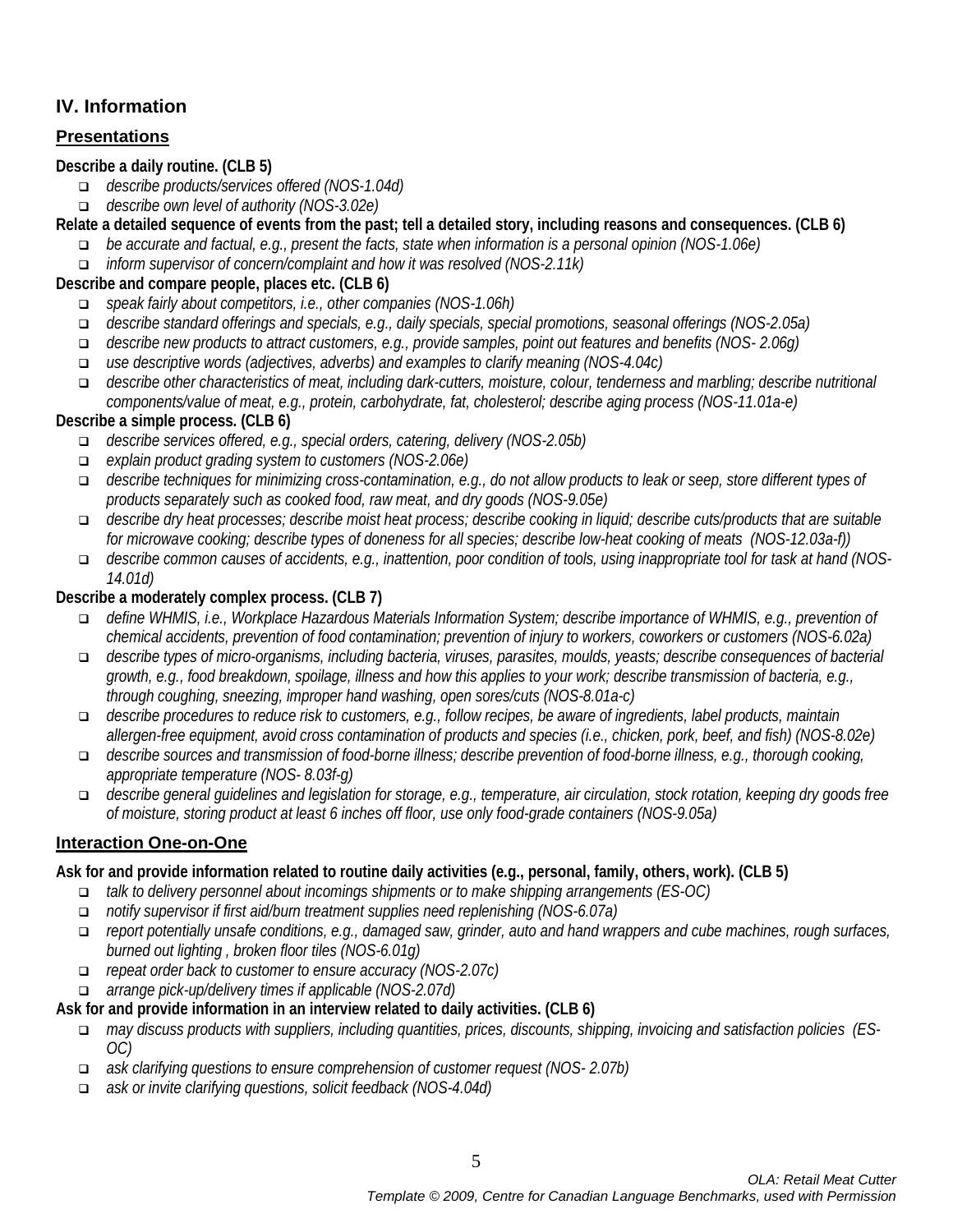# **IV. Information**

# **Presentations**

#### **Describe a daily routine. (CLB 5)**

- *describe products/services offered (NOS-1.04d)*
- *describe own level of authority (NOS-3.02e)*
- **Relate a detailed sequence of events from the past; tell a detailed story, including reasons and consequences. (CLB 6)**
	- *be accurate and factual, e.g., present the facts, state when information is a personal opinion (NOS-1.06e) inform supervisor of concern/complaint and how it was resolved (NOS-2.11k)*

#### **Describe and compare people, places etc. (CLB 6)**

- *speak fairly about competitors, i.e., other companies (NOS-1.06h)*
- *describe standard offerings and specials, e.g., daily specials, special promotions, seasonal offerings (NOS-2.05a)*
- *describe new products to attract customers, e.g., provide samples, point out features and benefits (NOS- 2.06g)*
- *use descriptive words (adjectives, adverbs) and examples to clarify meaning (NOS-4.04c)*
- *describe other characteristics of meat, including dark-cutters, moisture, colour, tenderness and marbling; describe nutritional components/value of meat, e.g., protein, carbohydrate, fat, cholesterol; describe aging process (NOS-11.01a-e)*

#### **Describe a simple process. (CLB 6)**

- *describe services offered, e.g., special orders, catering, delivery (NOS-2.05b)*
- *explain product grading system to customers (NOS-2.06e)*
- *describe techniques for minimizing cross-contamination, e.g., do not allow products to leak or seep, store different types of products separately such as cooked food, raw meat, and dry goods (NOS-9.05e)*
- *describe dry heat processes; describe moist heat process; describe cooking in liquid; describe cuts/products that are suitable for microwave cooking; describe types of doneness for all species; describe low-heat cooking of meats (NOS-12.03a-f))*
- *describe common causes of accidents, e.g., inattention, poor condition of tools, using inappropriate tool for task at hand (NOS-14.01d)*

#### **Describe a moderately complex process. (CLB 7)**

- *define WHMIS, i.e., Workplace Hazardous Materials Information System; describe importance of WHMIS, e.g., prevention of chemical accidents, prevention of food contamination; prevention of injury to workers, coworkers or customers (NOS-6.02a)*
- *describe types of micro-organisms, including bacteria, viruses, parasites, moulds, yeasts; describe consequences of bacterial growth, e.g., food breakdown, spoilage, illness and how this applies to your work; describe transmission of bacteria, e.g., through coughing, sneezing, improper hand washing, open sores/cuts (NOS-8.01a-c)*
- *describe procedures to reduce risk to customers, e.g., follow recipes, be aware of ingredients, label products, maintain allergen-free equipment, avoid cross contamination of products and species (i.e., chicken, pork, beef, and fish) (NOS-8.02e)*
- *describe sources and transmission of food-borne illness; describe prevention of food-borne illness, e.g., thorough cooking, appropriate temperature (NOS- 8.03f-g)*
- *describe general guidelines and legislation for storage, e.g., temperature, air circulation, stock rotation, keeping dry goods free of moisture, storing product at least 6 inches off floor, use only food-grade containers (NOS-9.05a)*

#### **Interaction One-on-One**

#### **Ask for and provide information related to routine daily activities (e.g., personal, family, others, work). (CLB 5)**

- *talk to delivery personnel about incomings shipments or to make shipping arrangements (ES-OC)*
- *notify supervisor if first aid/burn treatment supplies need replenishing (NOS-6.07a)*
- *report potentially unsafe conditions, e.g., damaged saw, grinder, auto and hand wrappers and cube machines, rough surfaces, burned out lighting , broken floor tiles (NOS-6.01g)*
- *repeat order back to customer to ensure accuracy (NOS-2.07c)*
- *arrange pick-up/delivery times if applicable (NOS-2.07d)*

#### **Ask for and provide information in an interview related to daily activities. (CLB 6)**

- *may discuss products with suppliers, including quantities, prices, discounts, shipping, invoicing and satisfaction policies (ES-OC)*
- *ask clarifying questions to ensure comprehension of customer request (NOS- 2.07b)*
- *ask or invite clarifying questions, solicit feedback (NOS-4.04d)*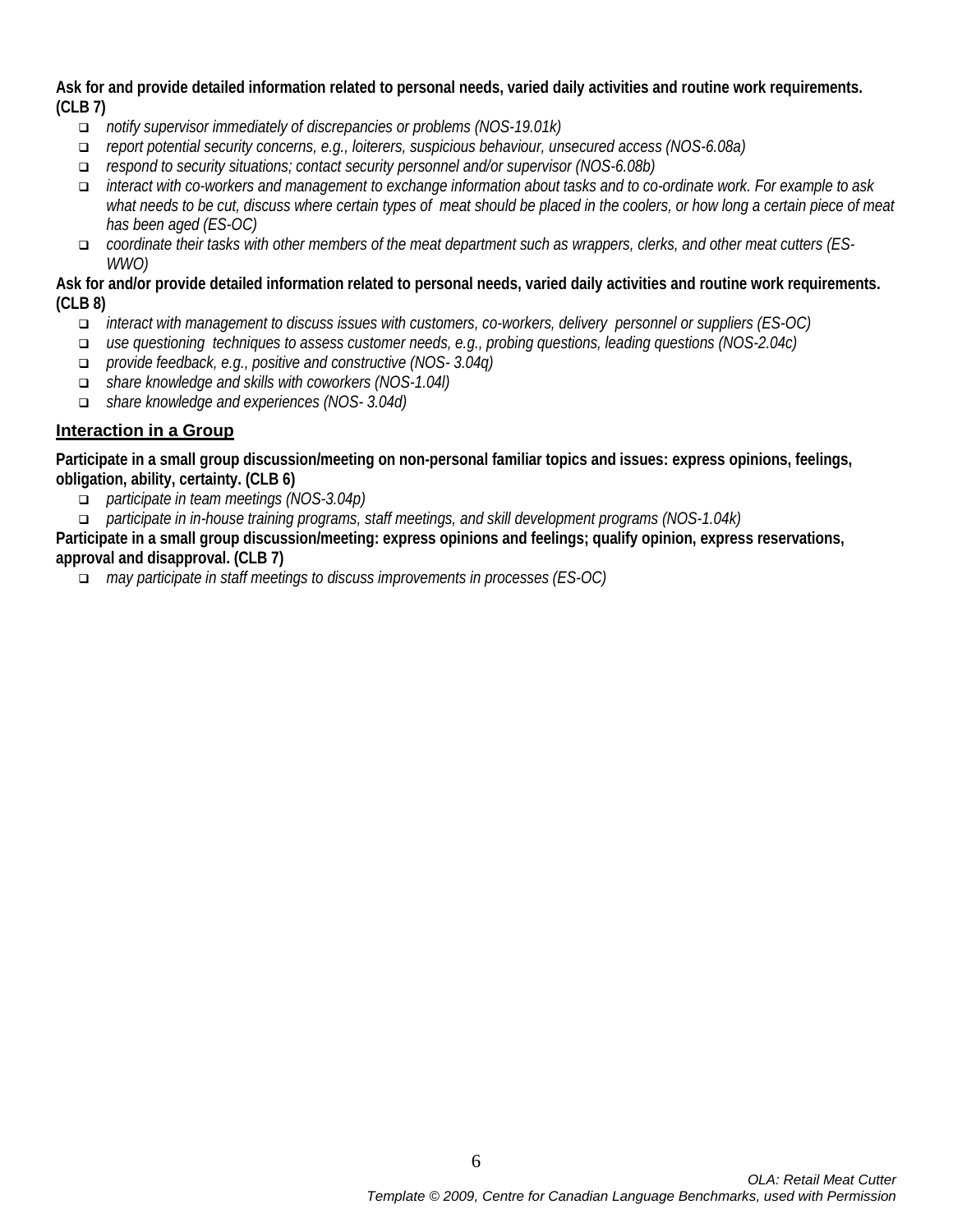**Ask for and provide detailed information related to personal needs, varied daily activities and routine work requirements. (CLB 7)**

- *notify supervisor immediately of discrepancies or problems (NOS-19.01k)*
- *report potential security concerns, e.g., loiterers, suspicious behaviour, unsecured access (NOS-6.08a)*
- *respond to security situations; contact security personnel and/or supervisor (NOS-6.08b)*
- *interact with co-workers and management to exchange information about tasks and to co-ordinate work. For example to ask*  what needs to be cut, discuss where certain types of meat should be placed in the coolers, or how long a certain piece of meat *has been aged (ES-OC)*
- *coordinate their tasks with other members of the meat department such as wrappers, clerks, and other meat cutters (ES-WWO)*

**Ask for and/or provide detailed information related to personal needs, varied daily activities and routine work requirements. (CLB 8)**

- *interact with management to discuss issues with customers, co-workers, delivery personnel or suppliers (ES-OC)*
- *use questioning techniques to assess customer needs, e.g., probing questions, leading questions (NOS-2.04c)*
- *provide feedback, e.g., positive and constructive (NOS- 3.04q)*
- *share knowledge and skills with coworkers (NOS-1.04l)*
- *share knowledge and experiences (NOS- 3.04d)*

#### **Interaction in a Group**

**Participate in a small group discussion/meeting on non-personal familiar topics and issues: express opinions, feelings, obligation, ability, certainty. (CLB 6)**

- *participate in team meetings (NOS-3.04p)*
- *participate in in-house training programs, staff meetings, and skill development programs (NOS-1.04k)*

**Participate in a small group discussion/meeting: express opinions and feelings; qualify opinion, express reservations, approval and disapproval. (CLB 7)**

*may participate in staff meetings to discuss improvements in processes (ES-OC)*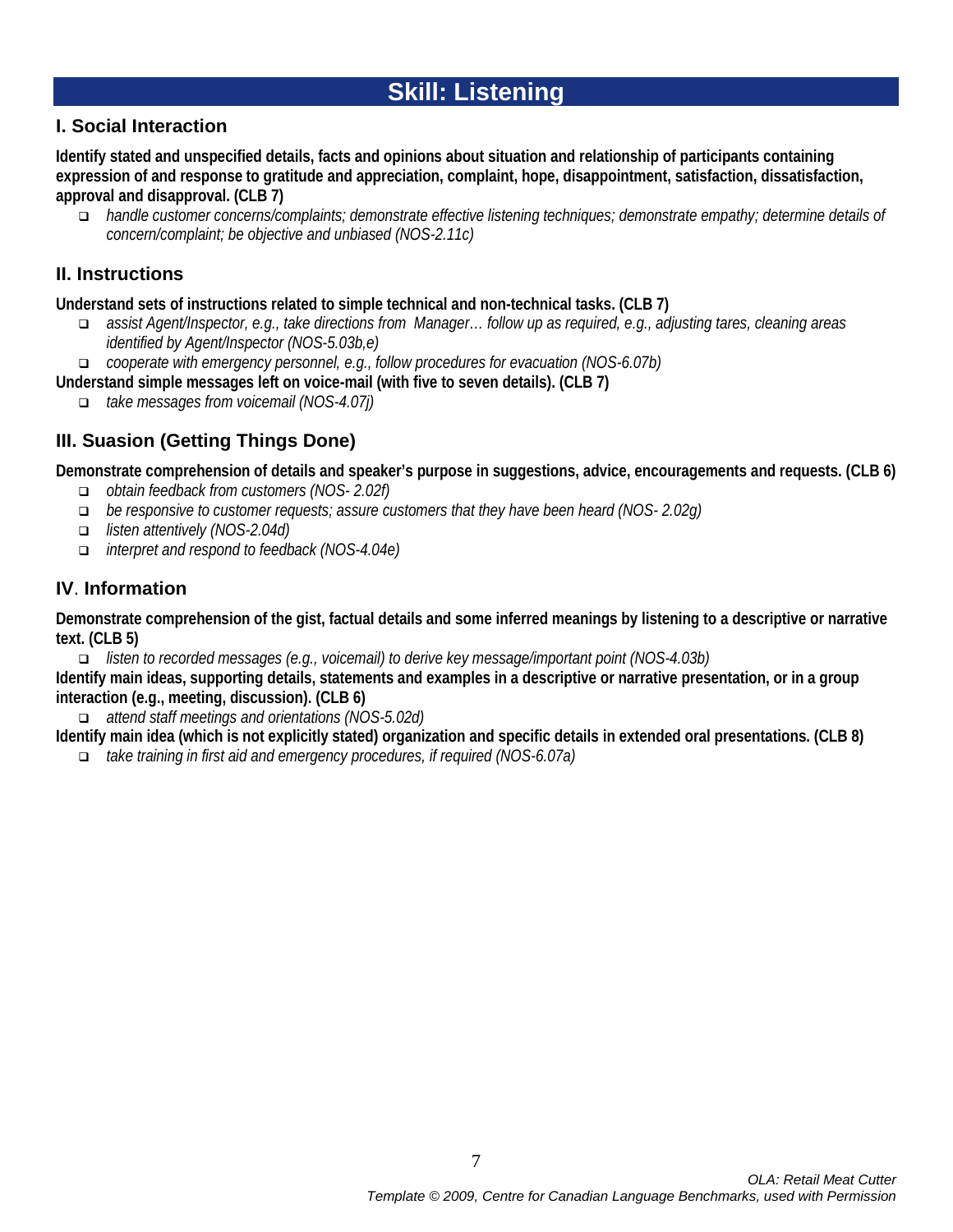# **Skill: Listening**

# **I. Social Interaction**

**Identify stated and unspecified details, facts and opinions about situation and relationship of participants containing expression of and response to gratitude and appreciation, complaint, hope, disappointment, satisfaction, dissatisfaction, approval and disapproval. (CLB 7)**

 *handle customer concerns/complaints; demonstrate effective listening techniques; demonstrate empathy; determine details of concern/complaint; be objective and unbiased (NOS-2.11c)*

## **II. Instructions**

**Understand sets of instructions related to simple technical and non-technical tasks. (CLB 7)**

- *assist Agent/Inspector, e.g., take directions from Manager… follow up as required, e.g., adjusting tares, cleaning areas identified by Agent/Inspector (NOS-5.03b,e)*
- *cooperate with emergency personnel, e.g., follow procedures for evacuation (NOS-6.07b)*
- **Understand simple messages left on voice-mail (with five to seven details). (CLB 7)**
	- *take messages from voicemail (NOS-4.07j)*

# **III. Suasion (Getting Things Done)**

**Demonstrate comprehension of details and speaker's purpose in suggestions, advice, encouragements and requests. (CLB 6)**

- *obtain feedback from customers (NOS- 2.02f)*
- *be responsive to customer requests; assure customers that they have been heard (NOS- 2.02g)*
- *listen attentively (NOS-2.04d)*
- *interpret and respond to feedback (NOS-4.04e)*

## **IV**. **Information**

**Demonstrate comprehension of the gist, factual details and some inferred meanings by listening to a descriptive or narrative text. (CLB 5)**

 *listen to recorded messages (e.g., voicemail) to derive key message/important point (NOS-4.03b)* **Identify main ideas, supporting details, statements and examples in a descriptive or narrative presentation, or in a group interaction (e.g., meeting, discussion). (CLB 6)**

*attend staff meetings and orientations (NOS-5.02d)*

**Identify main idea (which is not explicitly stated) organization and specific details in extended oral presentations. (CLB 8)**

*take training in first aid and emergency procedures, if required (NOS-6.07a)*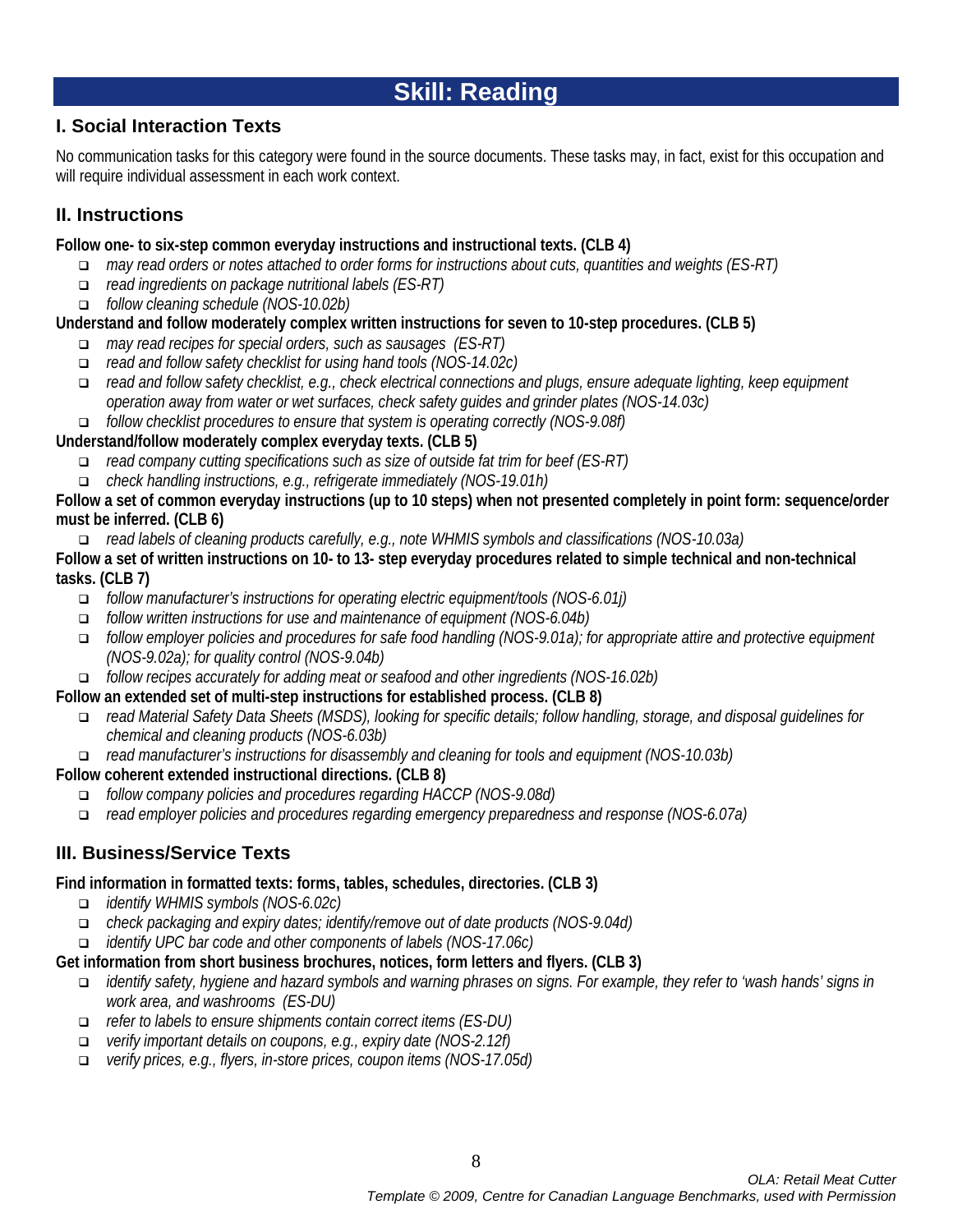# **Skill: Reading**

# **I. Social Interaction Texts**

No communication tasks for this category were found in the source documents. These tasks may, in fact, exist for this occupation and will require individual assessment in each work context.

# **II. Instructions**

#### **Follow one- to six-step common everyday instructions and instructional texts. (CLB 4)**

- *may read orders or notes attached to order forms for instructions about cuts, quantities and weights (ES-RT)*
- *read ingredients on package nutritional labels (ES-RT)*
- *follow cleaning schedule (NOS-10.02b)*

#### **Understand and follow moderately complex written instructions for seven to 10-step procedures. (CLB 5)**

- *may read recipes for special orders, such as sausages (ES-RT)*
- *read and follow safety checklist for using hand tools (NOS-14.02c)*
- *read and follow safety checklist, e.g., check electrical connections and plugs, ensure adequate lighting, keep equipment operation away from water or wet surfaces, check safety guides and grinder plates (NOS-14.03c)*
- *follow checklist procedures to ensure that system is operating correctly (NOS-9.08f)*

#### **Understand/follow moderately complex everyday texts. (CLB 5)**

- *read company cutting specifications such as size of outside fat trim for beef (ES-RT)*
- *check handling instructions, e.g., refrigerate immediately (NOS-19.01h)*

#### **Follow a set of common everyday instructions (up to 10 steps) when not presented completely in point form: sequence/order must be inferred. (CLB 6)**

*read labels of cleaning products carefully, e.g., note WHMIS symbols and classifications (NOS-10.03a)*

#### **Follow a set of written instructions on 10- to 13- step everyday procedures related to simple technical and non-technical tasks. (CLB 7)**

- *follow manufacturer's instructions for operating electric equipment/tools (NOS-6.01j)*
- *follow written instructions for use and maintenance of equipment (NOS-6.04b)*
- *follow employer policies and procedures for safe food handling (NOS-9.01a); for appropriate attire and protective equipment (NOS-9.02a); for quality control (NOS-9.04b)*
- *follow recipes accurately for adding meat or seafood and other ingredients (NOS-16.02b)*

#### **Follow an extended set of multi-step instructions for established process. (CLB 8)**

- *read Material Safety Data Sheets (MSDS), looking for specific details; follow handling, storage, and disposal guidelines for chemical and cleaning products (NOS-6.03b)*
- *read manufacturer's instructions for disassembly and cleaning for tools and equipment (NOS-10.03b)*

#### **Follow coherent extended instructional directions. (CLB 8)**

- *follow company policies and procedures regarding HACCP (NOS-9.08d)*
- *read employer policies and procedures regarding emergency preparedness and response (NOS-6.07a)*

# **III. Business/Service Texts**

#### **Find information in formatted texts: forms, tables, schedules, directories. (CLB 3)**

- *identify WHMIS symbols (NOS-6.02c)*
- *check packaging and expiry dates; identify/remove out of date products (NOS-9.04d)*
- *identify UPC bar code and other components of labels (NOS-17.06c)*

#### **Get information from short business brochures, notices, form letters and flyers. (CLB 3)**

- *identify safety, hygiene and hazard symbols and warning phrases on signs. For example, they refer to 'wash hands' signs in work area, and washrooms (ES-DU)*
- *refer to labels to ensure shipments contain correct items (ES-DU)*
- *verify important details on coupons, e.g., expiry date (NOS-2.12f)*
- *verify prices, e.g., flyers, in-store prices, coupon items (NOS-17.05d)*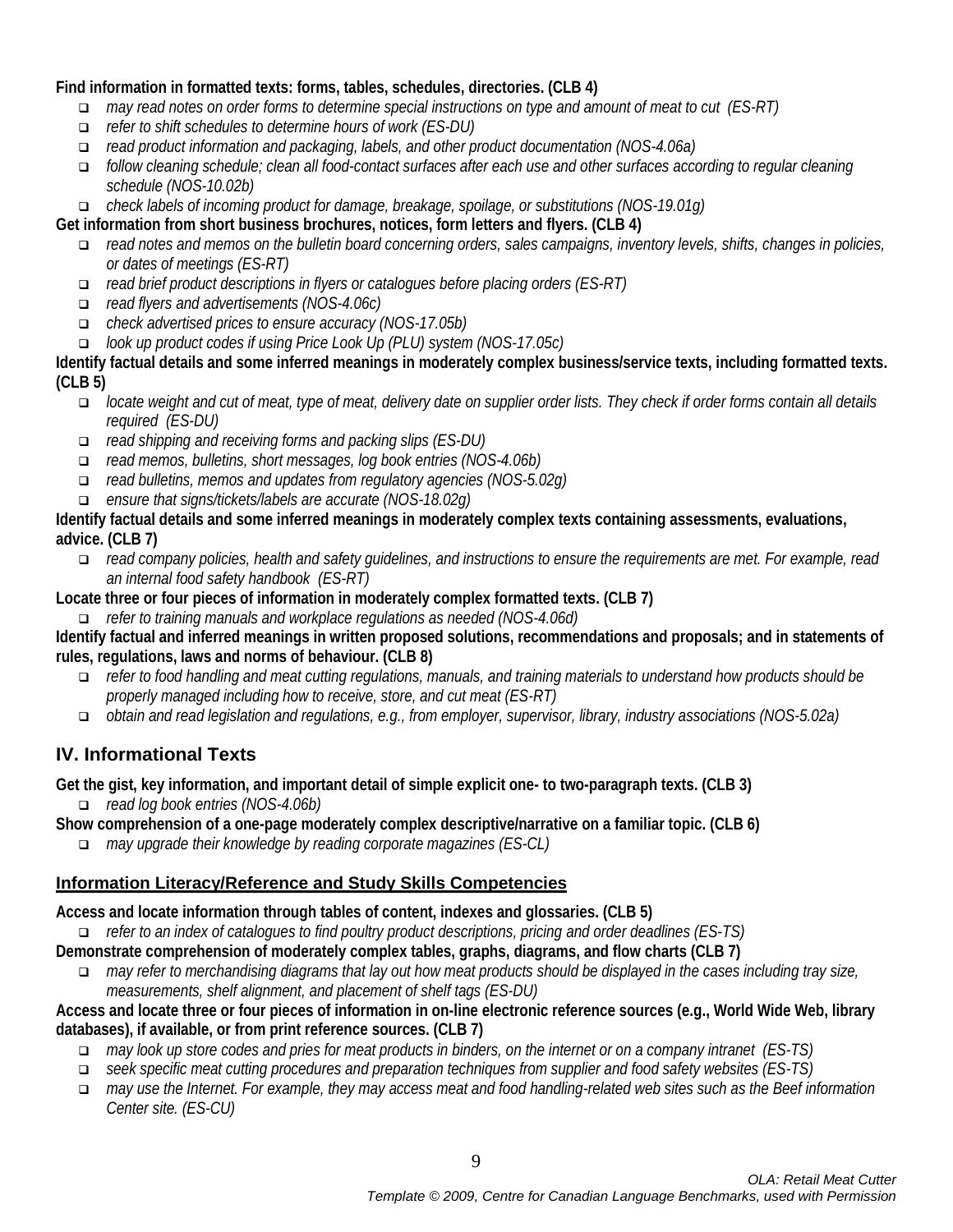#### **Find information in formatted texts: forms, tables, schedules, directories. (CLB 4)**

- *may read notes on order forms to determine special instructions on type and amount of meat to cut (ES-RT)*
- *refer to shift schedules to determine hours of work (ES-DU)*
- *read product information and packaging, labels, and other product documentation (NOS-4.06a)*
- *follow cleaning schedule; clean all food-contact surfaces after each use and other surfaces according to regular cleaning schedule (NOS-10.02b)*
- *check labels of incoming product for damage, breakage, spoilage, or substitutions (NOS-19.01g)*

**Get information from short business brochures, notices, form letters and flyers. (CLB 4)**

- *read notes and memos on the bulletin board concerning orders, sales campaigns, inventory levels, shifts, changes in policies, or dates of meetings (ES-RT)*
- *read brief product descriptions in flyers or catalogues before placing orders (ES-RT)*
- *read flyers and advertisements (NOS-4.06c)*
- *check advertised prices to ensure accuracy (NOS-17.05b)*
- *look up product codes if using Price Look Up (PLU) system (NOS-17.05c)*

**Identify factual details and some inferred meanings in moderately complex business/service texts, including formatted texts. (CLB 5)**

- *locate weight and cut of meat, type of meat, delivery date on supplier order lists. They check if order forms contain all details required (ES-DU)*
- *read shipping and receiving forms and packing slips (ES-DU)*
- *read memos, bulletins, short messages, log book entries (NOS-4.06b)*
- *read bulletins, memos and updates from regulatory agencies (NOS-5.02g)*
- *ensure that signs/tickets/labels are accurate (NOS-18.02g)*

**Identify factual details and some inferred meanings in moderately complex texts containing assessments, evaluations, advice. (CLB 7)**

- *read company policies, health and safety guidelines, and instructions to ensure the requirements are met. For example, read an internal food safety handbook (ES-RT)*
- **Locate three or four pieces of information in moderately complex formatted texts. (CLB 7)**
	- *refer to training manuals and workplace regulations as needed (NOS-4.06d)*

#### **Identify factual and inferred meanings in written proposed solutions, recommendations and proposals; and in statements of rules, regulations, laws and norms of behaviour. (CLB 8)**

- *refer to food handling and meat cutting regulations, manuals, and training materials to understand how products should be properly managed including how to receive, store, and cut meat (ES-RT)*
- *obtain and read legislation and regulations, e.g., from employer, supervisor, library, industry associations (NOS-5.02a)*

# **IV. Informational Texts**

**Get the gist, key information, and important detail of simple explicit one- to two-paragraph texts. (CLB 3)**

- *read log book entries (NOS-4.06b)*
- **Show comprehension of a one-page moderately complex descriptive/narrative on a familiar topic. (CLB 6)**
	- *may upgrade their knowledge by reading corporate magazines (ES-CL)*

#### **Information Literacy/Reference and Study Skills Competencies**

**Access and locate information through tables of content, indexes and glossaries. (CLB 5)**

*refer to an index of catalogues to find poultry product descriptions, pricing and order deadlines (ES-TS)* 

**Demonstrate comprehension of moderately complex tables, graphs, diagrams, and flow charts (CLB 7)**

 *may refer to merchandising diagrams that lay out how meat products should be displayed in the cases including tray size, measurements, shelf alignment, and placement of shelf tags (ES-DU)* 

#### **Access and locate three or four pieces of information in on-line electronic reference sources (e.g., World Wide Web, library databases), if available, or from print reference sources. (CLB 7)**

- *may look up store codes and pries for meat products in binders, on the internet or on a company intranet (ES-TS)*
- *seek specific meat cutting procedures and preparation techniques from supplier and food safety websites (ES-TS)*
- *may use the Internet. For example, they may access meat and food handling-related web sites such as the Beef information Center site. (ES-CU)*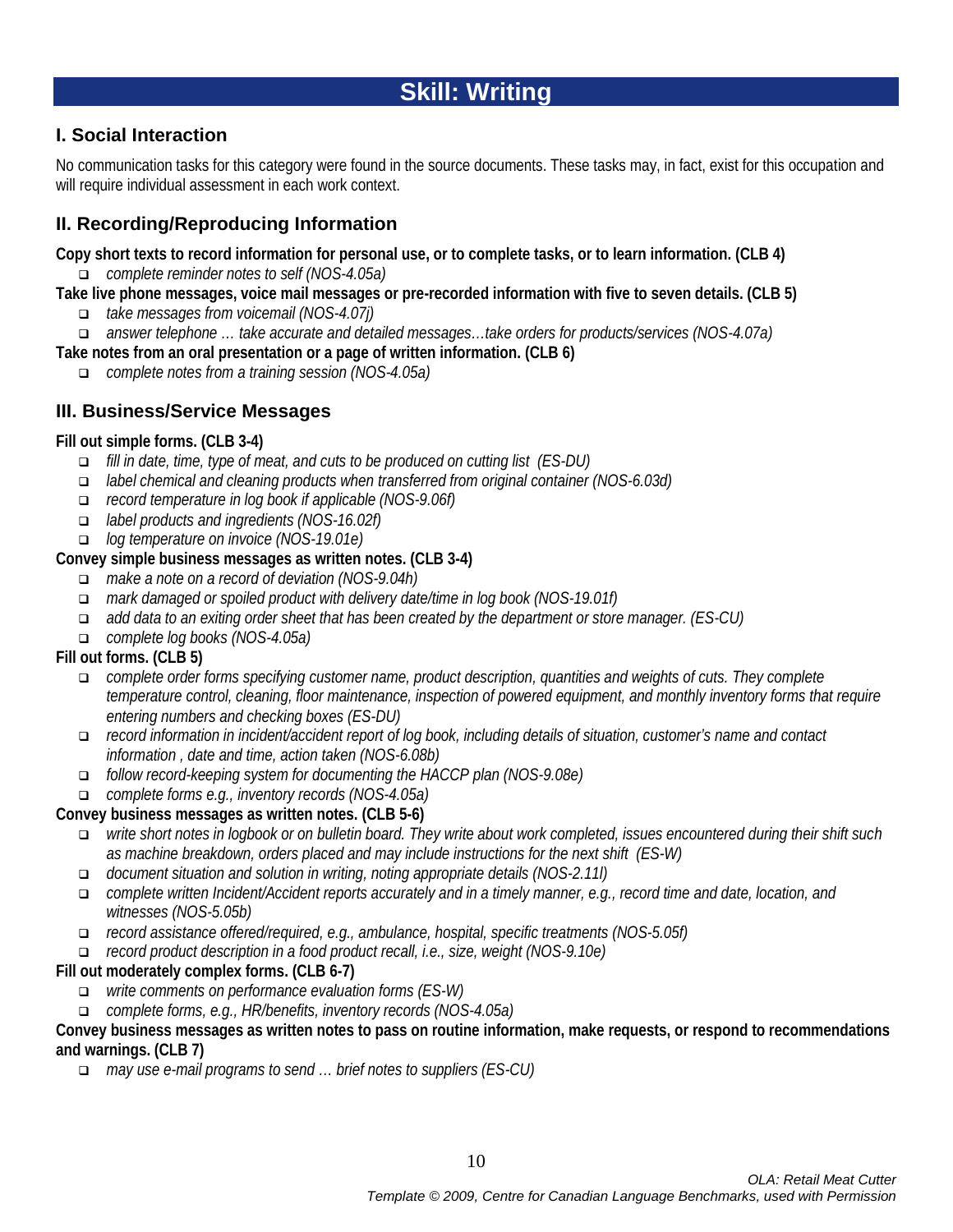# **Skill: Writing**

# **I. Social Interaction**

No communication tasks for this category were found in the source documents. These tasks may, in fact, exist for this occupation and will require individual assessment in each work context.

# **II. Recording/Reproducing Information**

**Copy short texts to record information for personal use, or to complete tasks, or to learn information. (CLB 4)**

*complete reminder notes to self (NOS-4.05a)*

**Take live phone messages, voice mail messages or pre-recorded information with five to seven details. (CLB 5)**

- *take messages from voicemail (NOS-4.07j)*
- *answer telephone … take accurate and detailed messages…take orders for products/services (NOS-4.07a)*
- **Take notes from an oral presentation or a page of written information. (CLB 6)**
	- *complete notes from a training session (NOS-4.05a)*

# **III. Business/Service Messages**

#### **Fill out simple forms. (CLB 3-4)**

- *fill in date, time, type of meat, and cuts to be produced on cutting list (ES-DU)*
- *label chemical and cleaning products when transferred from original container (NOS-6.03d)*
- *record temperature in log book if applicable (NOS-9.06f)*
- *label products and ingredients (NOS-16.02f)*
- *log temperature on invoice (NOS-19.01e)*

#### **Convey simple business messages as written notes. (CLB 3-4)**

- *make a note on a record of deviation (NOS-9.04h)*
- *mark damaged or spoiled product with delivery date/time in log book (NOS-19.01f)*
- *add data to an exiting order sheet that has been created by the department or store manager. (ES-CU)*
- *complete log books (NOS-4.05a)*

#### **Fill out forms. (CLB 5)**

- *complete order forms specifying customer name, product description, quantities and weights of cuts. They complete temperature control, cleaning, floor maintenance, inspection of powered equipment, and monthly inventory forms that require entering numbers and checking boxes (ES-DU)*
- *record information in incident/accident report of log book, including details of situation, customer's name and contact information , date and time, action taken (NOS-6.08b)*
- *follow record-keeping system for documenting the HACCP plan (NOS-9.08e)*
- *complete forms e.g., inventory records (NOS-4.05a)*

#### **Convey business messages as written notes. (CLB 5-6)**

- *write short notes in logbook or on bulletin board. They write about work completed, issues encountered during their shift such as machine breakdown, orders placed and may include instructions for the next shift (ES-W)*
- *document situation and solution in writing, noting appropriate details (NOS-2.11l)*
- *complete written Incident/Accident reports accurately and in a timely manner, e.g., record time and date, location, and witnesses (NOS-5.05b)*
- *record assistance offered/required, e.g., ambulance, hospital, specific treatments (NOS-5.05f)*
- *record product description in a food product recall, i.e., size, weight (NOS-9.10e)*

#### **Fill out moderately complex forms. (CLB 6-7)**

- *write comments on performance evaluation forms (ES-W)*
- *complete forms, e.g., HR/benefits, inventory records (NOS-4.05a)*

#### **Convey business messages as written notes to pass on routine information, make requests, or respond to recommendations and warnings. (CLB 7)**

*may use e-mail programs to send … brief notes to suppliers (ES-CU)*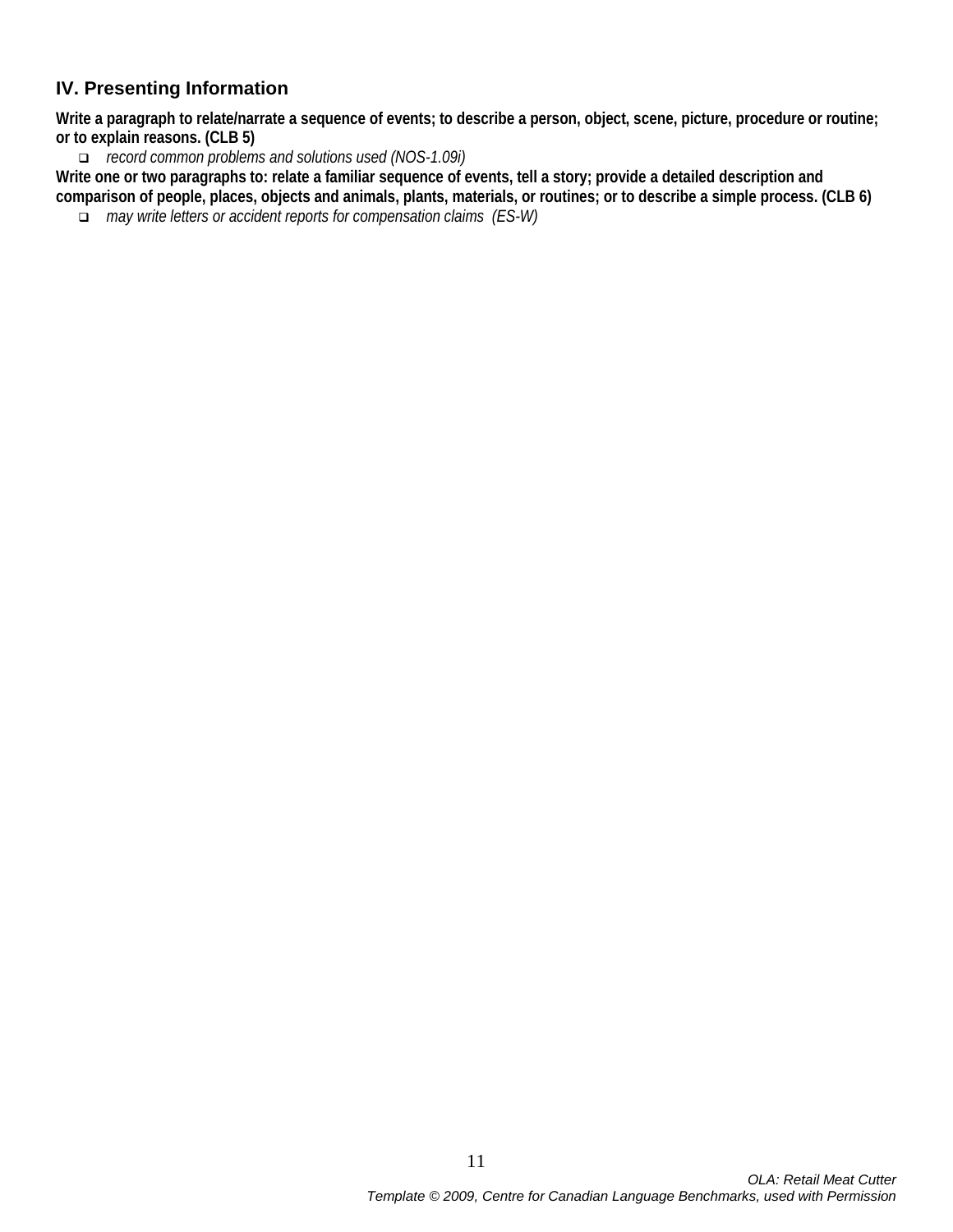# **IV. Presenting Information**

**Write a paragraph to relate/narrate a sequence of events; to describe a person, object, scene, picture, procedure or routine; or to explain reasons. (CLB 5)**

*record common problems and solutions used (NOS-1.09i)*

**Write one or two paragraphs to: relate a familiar sequence of events, tell a story; provide a detailed description and comparison of people, places, objects and animals, plants, materials, or routines; or to describe a simple process. (CLB 6)**

*may write letters or accident reports for compensation claims (ES-W)* 

11